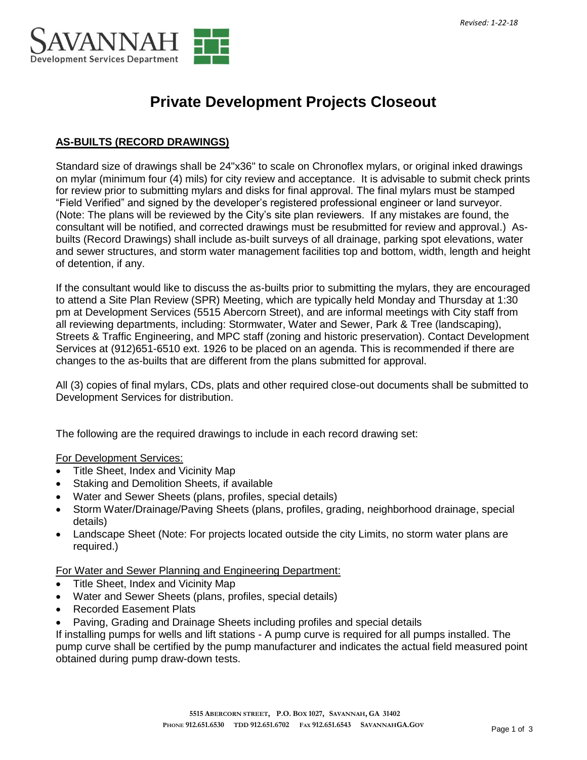

# **Private Development Projects Closeout**

# **AS-BUILTS (RECORD DRAWINGS)**

Standard size of drawings shall be 24"x36" to scale on Chronoflex mylars, or original inked drawings on mylar (minimum four (4) mils) for city review and acceptance. It is advisable to submit check prints for review prior to submitting mylars and disks for final approval. The final mylars must be stamped "Field Verified" and signed by the developer's registered professional engineer or land surveyor. (Note: The plans will be reviewed by the City's site plan reviewers. If any mistakes are found, the consultant will be notified, and corrected drawings must be resubmitted for review and approval.) Asbuilts (Record Drawings) shall include as-built surveys of all drainage, parking spot elevations, water and sewer structures, and storm water management facilities top and bottom, width, length and height of detention, if any.

If the consultant would like to discuss the as-builts prior to submitting the mylars, they are encouraged to attend a Site Plan Review (SPR) Meeting, which are typically held Monday and Thursday at 1:30 pm at Development Services (5515 Abercorn Street), and are informal meetings with City staff from all reviewing departments, including: Stormwater, Water and Sewer, Park & Tree (landscaping), Streets & Traffic Engineering, and MPC staff (zoning and historic preservation). Contact Development Services at (912)651-6510 ext. 1926 to be placed on an agenda. This is recommended if there are changes to the as-builts that are different from the plans submitted for approval.

All (3) copies of final mylars, CDs, plats and other required close-out documents shall be submitted to Development Services for distribution.

The following are the required drawings to include in each record drawing set:

For Development Services:

- Title Sheet, Index and Vicinity Map
- Staking and Demolition Sheets, if available
- Water and Sewer Sheets (plans, profiles, special details)
- Storm Water/Drainage/Paving Sheets (plans, profiles, grading, neighborhood drainage, special details)
- Landscape Sheet (Note: For projects located outside the city Limits, no storm water plans are required.)

For Water and Sewer Planning and Engineering Department:

- Title Sheet, Index and Vicinity Map
- Water and Sewer Sheets (plans, profiles, special details)
- Recorded Easement Plats
- Paving, Grading and Drainage Sheets including profiles and special details

If installing pumps for wells and lift stations - A pump curve is required for all pumps installed. The pump curve shall be certified by the pump manufacturer and indicates the actual field measured point obtained during pump draw-down tests.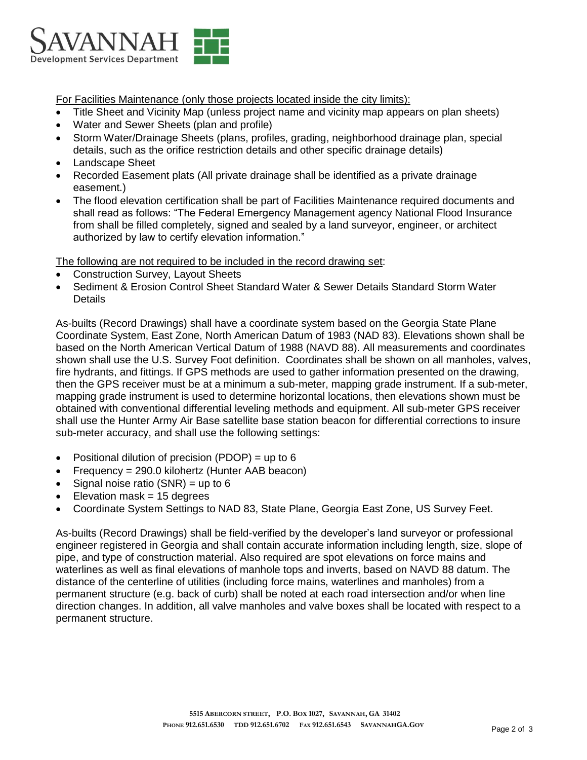

For Facilities Maintenance (only those projects located inside the city limits):

- Title Sheet and Vicinity Map (unless project name and vicinity map appears on plan sheets)
- Water and Sewer Sheets (plan and profile)
- Storm Water/Drainage Sheets (plans, profiles, grading, neighborhood drainage plan, special details, such as the orifice restriction details and other specific drainage details)
- Landscape Sheet
- Recorded Easement plats (All private drainage shall be identified as a private drainage easement.)
- The flood elevation certification shall be part of Facilities Maintenance required documents and shall read as follows: "The Federal Emergency Management agency National Flood Insurance from shall be filled completely, signed and sealed by a land surveyor, engineer, or architect authorized by law to certify elevation information."

The following are not required to be included in the record drawing set:

- Construction Survey, Layout Sheets
- Sediment & Erosion Control Sheet Standard Water & Sewer Details Standard Storm Water **Details**

As-builts (Record Drawings) shall have a coordinate system based on the Georgia State Plane Coordinate System, East Zone, North American Datum of 1983 (NAD 83). Elevations shown shall be based on the North American Vertical Datum of 1988 (NAVD 88). All measurements and coordinates shown shall use the U.S. Survey Foot definition. Coordinates shall be shown on all manholes, valves, fire hydrants, and fittings. If GPS methods are used to gather information presented on the drawing, then the GPS receiver must be at a minimum a sub-meter, mapping grade instrument. If a sub-meter, mapping grade instrument is used to determine horizontal locations, then elevations shown must be obtained with conventional differential leveling methods and equipment. All sub-meter GPS receiver shall use the Hunter Army Air Base satellite base station beacon for differential corrections to insure sub-meter accuracy, and shall use the following settings:

- Positional dilution of precision (PDOP) = up to  $6$
- Frequency = 290.0 kilohertz (Hunter AAB beacon)
- Signal noise ratio  $(SNR) = up to 6$
- $\bullet$  Elevation mask = 15 degrees
- Coordinate System Settings to NAD 83, State Plane, Georgia East Zone, US Survey Feet.

As-builts (Record Drawings) shall be field-verified by the developer's land surveyor or professional engineer registered in Georgia and shall contain accurate information including length, size, slope of pipe, and type of construction material. Also required are spot elevations on force mains and waterlines as well as final elevations of manhole tops and inverts, based on NAVD 88 datum. The distance of the centerline of utilities (including force mains, waterlines and manholes) from a permanent structure (e.g. back of curb) shall be noted at each road intersection and/or when line direction changes. In addition, all valve manholes and valve boxes shall be located with respect to a permanent structure.